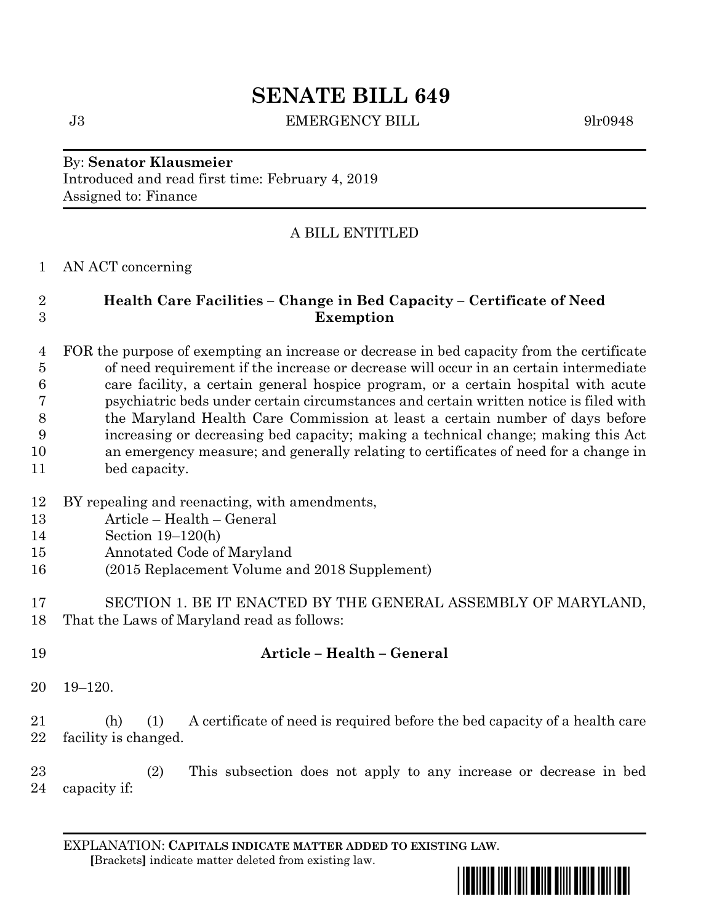# **SENATE BILL 649**

J3 **EMERGENCY BILL** 9lr0948

## By: **Senator Klausmeier** Introduced and read first time: February 4, 2019 Assigned to: Finance

# A BILL ENTITLED

### AN ACT concerning

# **Health Care Facilities – Change in Bed Capacity – Certificate of Need Exemption**

 FOR the purpose of exempting an increase or decrease in bed capacity from the certificate of need requirement if the increase or decrease will occur in an certain intermediate care facility, a certain general hospice program, or a certain hospital with acute psychiatric beds under certain circumstances and certain written notice is filed with the Maryland Health Care Commission at least a certain number of days before increasing or decreasing bed capacity; making a technical change; making this Act an emergency measure; and generally relating to certificates of need for a change in bed capacity.

- BY repealing and reenacting, with amendments,
- Article Health General
- Section 19–120(h)
- Annotated Code of Maryland
- (2015 Replacement Volume and 2018 Supplement)
- SECTION 1. BE IT ENACTED BY THE GENERAL ASSEMBLY OF MARYLAND, That the Laws of Maryland read as follows:
- **Article – Health – General**
- 19–120.
- (h) (1) A certificate of need is required before the bed capacity of a health care 22 facility is changed.

 (2) This subsection does not apply to any increase or decrease in bed capacity if:

EXPLANATION: **CAPITALS INDICATE MATTER ADDED TO EXISTING LAW**.  **[**Brackets**]** indicate matter deleted from existing law.

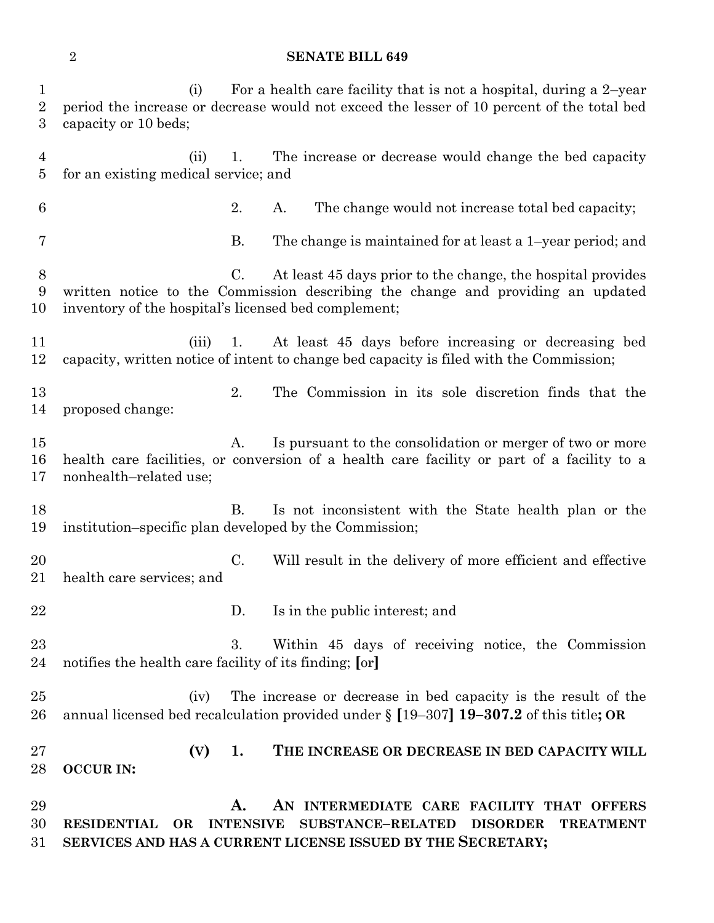#### **SENATE BILL 649**

 (i) For a health care facility that is not a hospital, during a 2–year period the increase or decrease would not exceed the lesser of 10 percent of the total bed capacity or 10 beds; (ii) 1. The increase or decrease would change the bed capacity for an existing medical service; and 2. A. The change would not increase total bed capacity; B. The change is maintained for at least a 1–year period; and C. At least 45 days prior to the change, the hospital provides written notice to the Commission describing the change and providing an updated inventory of the hospital's licensed bed complement; (iii) 1. At least 45 days before increasing or decreasing bed capacity, written notice of intent to change bed capacity is filed with the Commission; 2. The Commission in its sole discretion finds that the proposed change: 15 A. Is pursuant to the consolidation or merger of two or more health care facilities, or conversion of a health care facility or part of a facility to a nonhealth–related use; B. Is not inconsistent with the State health plan or the institution–specific plan developed by the Commission; C. Will result in the delivery of more efficient and effective health care services; and 22 D. Is in the public interest; and 3. Within 45 days of receiving notice, the Commission notifies the health care facility of its finding; **[**or**]** (iv) The increase or decrease in bed capacity is the result of the annual licensed bed recalculation provided under § **[**19–307**] 19–307.2** of this title**; OR (V) 1. THE INCREASE OR DECREASE IN BED CAPACITY WILL OCCUR IN: A. AN INTERMEDIATE CARE FACILITY THAT OFFERS RESIDENTIAL OR INTENSIVE SUBSTANCE–RELATED DISORDER TREATMENT** 

**SERVICES AND HAS A CURRENT LICENSE ISSUED BY THE SECRETARY;**